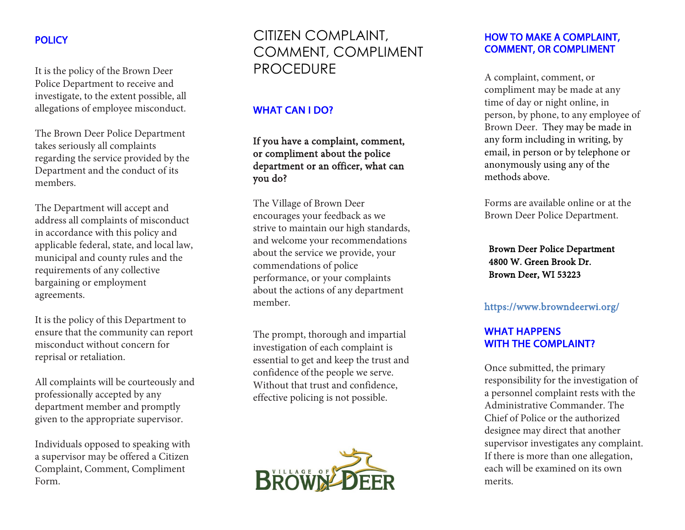# **POLICY**

It is the policy of the Brown Deer Police Department to receive and investigate, to the extent possible, all allegations of employee misconduct.

The Brown Deer Police Department takes seriously all complaints regarding the service provided by the Department and the conduct of its members.

The Department will accept and address all complaints of misconduct in accordance with this policy and applicable federal, state, and local law, municipal and county rules and the requirements of any collective bargaining or employment agreements.

It is the policy of this Department to ensure that the community can report misconduct without concern for reprisal or retaliation.

All complaints will be courteously and professionally accepted by any department member and promptly given to the appropriate supervisor.

Individuals opposed to speaking with a supervisor may be offered a Citizen Complaint, Comment, Compliment Form.

CITIZEN COMPLAINT, COMMENT, COMPLIMENT PROCEDURE

# WHAT CAN I DO?

If you have a complaint, comment, or compliment about the police department or an officer, what can you do?

The Village of Brown Deer encourages your feedback as we strive to maintain our high standards, and welcome your recommendations about the service we provide, your commendations of police performance, or your complaints about the actions of any department member.

The prompt, thorough and impartial investigation of each complaint is essential to get and keep the trust and confidence of the people we serve. Without that trust and confidence, effective policing is not possible.



#### HOW TO MAKE A COMPLAINT, COMMENT, OR COMPLIMENT

A complaint, comment, or compliment may be made at any time of day or night online, in person, by phone, to any employee of Brown Deer. They may be made in any form including in writing, by email, in person or by telephone or anonymously using any of the methods above.

Forms are available online or at the Brown Deer Police Department.

Brown Deer Police Department 4800 W. Green Brook Dr. Brown Deer, WI 53223

#### https://www.browndeerwi.org/

## WHAT HAPPENS WITH THE COMPLAINT?

Once submitted, the primary responsibility for the investigation of a personnel complaint rests with the Administrative Commander. The Chief of Police or the authorized designee may direct that another supervisor investigates any complaint. If there is more than one allegation, each will be examined on its own merits.